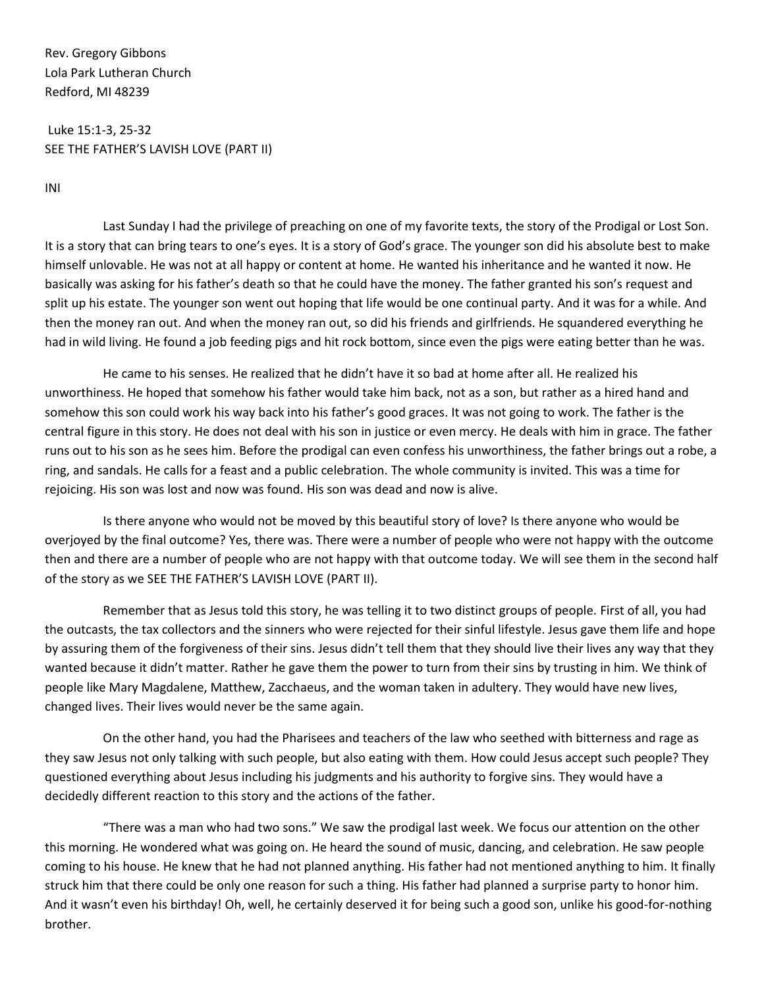Rev. Gregory Gibbons Lola Park Lutheran Church Redford, MI 48239

Luke 15:1-3, 25-32 SEE THE FATHER'S LAVISH LOVE (PART II)

INI

Last Sunday I had the privilege of preaching on one of my favorite texts, the story of the Prodigal or Lost Son. It is a story that can bring tears to one's eyes. It is a story of God's grace. The younger son did his absolute best to make himself unlovable. He was not at all happy or content at home. He wanted his inheritance and he wanted it now. He basically was asking for his father's death so that he could have the money. The father granted his son's request and split up his estate. The younger son went out hoping that life would be one continual party. And it was for a while. And then the money ran out. And when the money ran out, so did his friends and girlfriends. He squandered everything he had in wild living. He found a job feeding pigs and hit rock bottom, since even the pigs were eating better than he was.

He came to his senses. He realized that he didn't have it so bad at home after all. He realized his unworthiness. He hoped that somehow his father would take him back, not as a son, but rather as a hired hand and somehow this son could work his way back into his father's good graces. It was not going to work. The father is the central figure in this story. He does not deal with his son in justice or even mercy. He deals with him in grace. The father runs out to his son as he sees him. Before the prodigal can even confess his unworthiness, the father brings out a robe, a ring, and sandals. He calls for a feast and a public celebration. The whole community is invited. This was a time for rejoicing. His son was lost and now was found. His son was dead and now is alive.

Is there anyone who would not be moved by this beautiful story of love? Is there anyone who would be overjoyed by the final outcome? Yes, there was. There were a number of people who were not happy with the outcome then and there are a number of people who are not happy with that outcome today. We will see them in the second half of the story as we SEE THE FATHER'S LAVISH LOVE (PART II).

Remember that as Jesus told this story, he was telling it to two distinct groups of people. First of all, you had the outcasts, the tax collectors and the sinners who were rejected for their sinful lifestyle. Jesus gave them life and hope by assuring them of the forgiveness of their sins. Jesus didn't tell them that they should live their lives any way that they wanted because it didn't matter. Rather he gave them the power to turn from their sins by trusting in him. We think of people like Mary Magdalene, Matthew, Zacchaeus, and the woman taken in adultery. They would have new lives, changed lives. Their lives would never be the same again.

On the other hand, you had the Pharisees and teachers of the law who seethed with bitterness and rage as they saw Jesus not only talking with such people, but also eating with them. How could Jesus accept such people? They questioned everything about Jesus including his judgments and his authority to forgive sins. They would have a decidedly different reaction to this story and the actions of the father.

"There was a man who had two sons." We saw the prodigal last week. We focus our attention on the other this morning. He wondered what was going on. He heard the sound of music, dancing, and celebration. He saw people coming to his house. He knew that he had not planned anything. His father had not mentioned anything to him. It finally struck him that there could be only one reason for such a thing. His father had planned a surprise party to honor him. And it wasn't even his birthday! Oh, well, he certainly deserved it for being such a good son, unlike his good-for-nothing brother.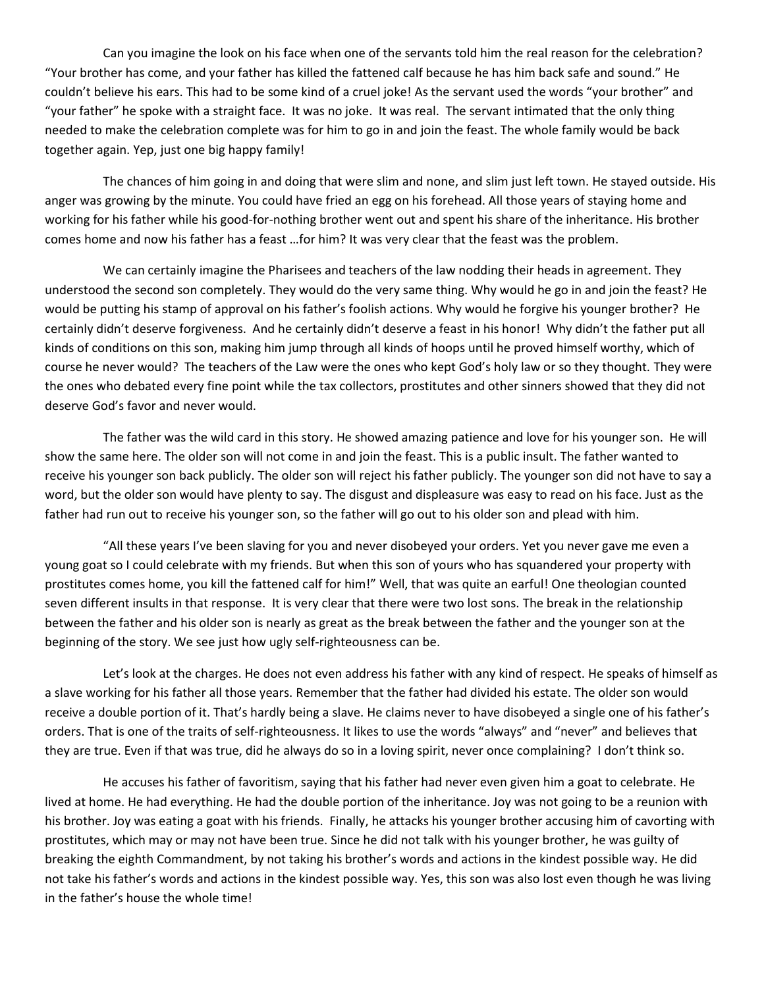Can you imagine the look on his face when one of the servants told him the real reason for the celebration? "Your brother has come, and your father has killed the fattened calf because he has him back safe and sound." He couldn't believe his ears. This had to be some kind of a cruel joke! As the servant used the words "your brother" and "your father" he spoke with a straight face. It was no joke. It was real. The servant intimated that the only thing needed to make the celebration complete was for him to go in and join the feast. The whole family would be back together again. Yep, just one big happy family!

The chances of him going in and doing that were slim and none, and slim just left town. He stayed outside. His anger was growing by the minute. You could have fried an egg on his forehead. All those years of staying home and working for his father while his good-for-nothing brother went out and spent his share of the inheritance. His brother comes home and now his father has a feast …for him? It was very clear that the feast was the problem.

We can certainly imagine the Pharisees and teachers of the law nodding their heads in agreement. They understood the second son completely. They would do the very same thing. Why would he go in and join the feast? He would be putting his stamp of approval on his father's foolish actions. Why would he forgive his younger brother? He certainly didn't deserve forgiveness. And he certainly didn't deserve a feast in his honor! Why didn't the father put all kinds of conditions on this son, making him jump through all kinds of hoops until he proved himself worthy, which of course he never would? The teachers of the Law were the ones who kept God's holy law or so they thought. They were the ones who debated every fine point while the tax collectors, prostitutes and other sinners showed that they did not deserve God's favor and never would.

The father was the wild card in this story. He showed amazing patience and love for his younger son. He will show the same here. The older son will not come in and join the feast. This is a public insult. The father wanted to receive his younger son back publicly. The older son will reject his father publicly. The younger son did not have to say a word, but the older son would have plenty to say. The disgust and displeasure was easy to read on his face. Just as the father had run out to receive his younger son, so the father will go out to his older son and plead with him.

"All these years I've been slaving for you and never disobeyed your orders. Yet you never gave me even a young goat so I could celebrate with my friends. But when this son of yours who has squandered your property with prostitutes comes home, you kill the fattened calf for him!" Well, that was quite an earful! One theologian counted seven different insults in that response. It is very clear that there were two lost sons. The break in the relationship between the father and his older son is nearly as great as the break between the father and the younger son at the beginning of the story. We see just how ugly self-righteousness can be.

Let's look at the charges. He does not even address his father with any kind of respect. He speaks of himself as a slave working for his father all those years. Remember that the father had divided his estate. The older son would receive a double portion of it. That's hardly being a slave. He claims never to have disobeyed a single one of his father's orders. That is one of the traits of self-righteousness. It likes to use the words "always" and "never" and believes that they are true. Even if that was true, did he always do so in a loving spirit, never once complaining? I don't think so.

He accuses his father of favoritism, saying that his father had never even given him a goat to celebrate. He lived at home. He had everything. He had the double portion of the inheritance. Joy was not going to be a reunion with his brother. Joy was eating a goat with his friends. Finally, he attacks his younger brother accusing him of cavorting with prostitutes, which may or may not have been true. Since he did not talk with his younger brother, he was guilty of breaking the eighth Commandment, by not taking his brother's words and actions in the kindest possible way. He did not take his father's words and actions in the kindest possible way. Yes, this son was also lost even though he was living in the father's house the whole time!